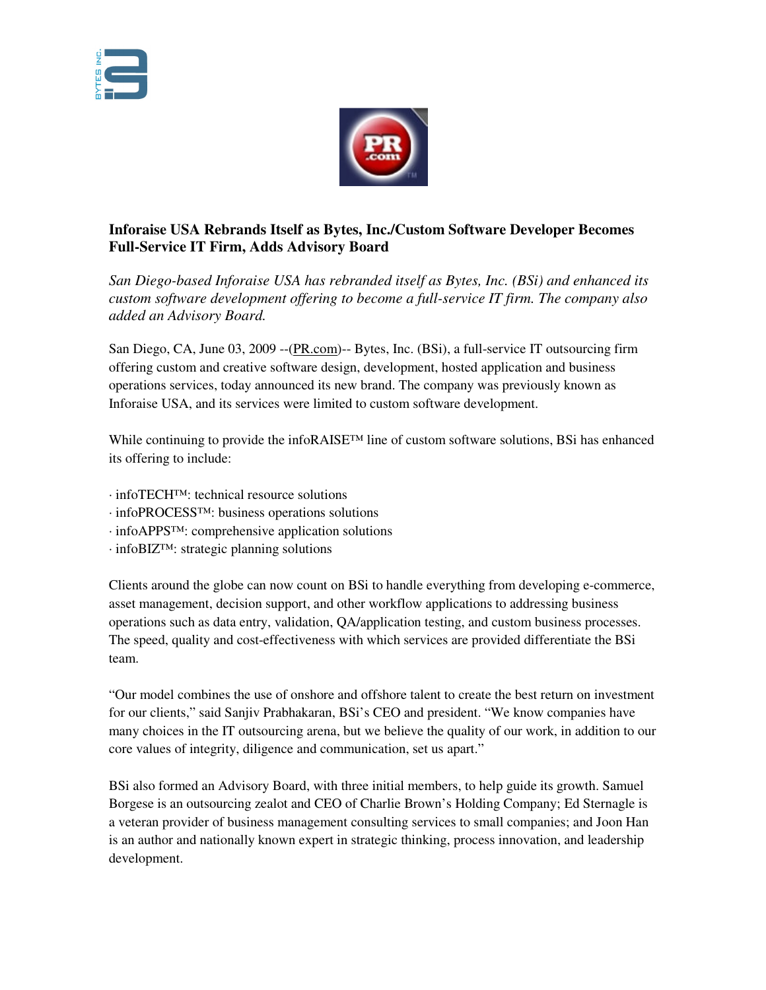



## **Inforaise USA Rebrands Itself as Bytes, Inc./Custom Software Developer Becomes Full-Service IT Firm, Adds Advisory Board**

*San Diego-based Inforaise USA has rebranded itself as Bytes, Inc. (BSi) and enhanced its custom software development offering to become a full-service IT firm. The company also added an Advisory Board.*

San Diego, CA, June 03, 2009 --(PR.com)-- Bytes, Inc. (BSi), a full-service IT outsourcing firm offering custom and creative software design, development, hosted application and business operations services, today announced its new brand. The company was previously known as Inforaise USA, and its services were limited to custom software development.

While continuing to provide the infoRAISE™ line of custom software solutions, BSi has enhanced its offering to include:

- · infoTECH™: technical resource solutions
- · infoPROCESS™: business operations solutions
- · infoAPPS™: comprehensive application solutions
- · infoBIZ™: strategic planning solutions

Clients around the globe can now count on BSi to handle everything from developing e-commerce, asset management, decision support, and other workflow applications to addressing business operations such as data entry, validation, QA/application testing, and custom business processes. The speed, quality and cost-effectiveness with which services are provided differentiate the BSi team.

"Our model combines the use of onshore and offshore talent to create the best return on investment for our clients," said Sanjiv Prabhakaran, BSi's CEO and president. "We know companies have many choices in the IT outsourcing arena, but we believe the quality of our work, in addition to our core values of integrity, diligence and communication, set us apart."

BSi also formed an Advisory Board, with three initial members, to help guide its growth. Samuel Borgese is an outsourcing zealot and CEO of Charlie Brown's Holding Company; Ed Sternagle is a veteran provider of business management consulting services to small companies; and Joon Han is an author and nationally known expert in strategic thinking, process innovation, and leadership development.